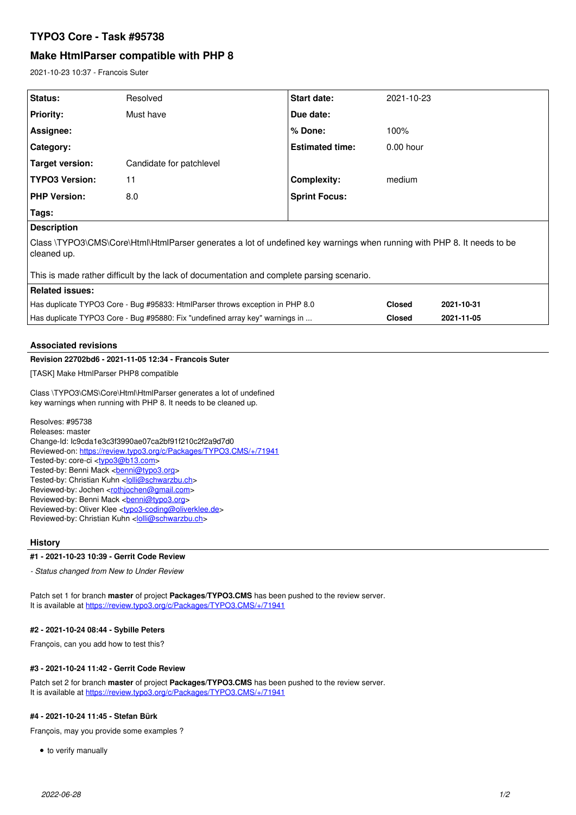# **TYPO3 Core - Task #95738**

# **Make HtmlParser compatible with PHP 8**

2021-10-23 10:37 - Francois Suter

| Status:                                                                                                                                                                                                                                                                                                                                                                                                                                                                                                                                                                                                                                       | Resolved                 | Start date:            | 2021-10-23    |            |
|-----------------------------------------------------------------------------------------------------------------------------------------------------------------------------------------------------------------------------------------------------------------------------------------------------------------------------------------------------------------------------------------------------------------------------------------------------------------------------------------------------------------------------------------------------------------------------------------------------------------------------------------------|--------------------------|------------------------|---------------|------------|
| <b>Priority:</b>                                                                                                                                                                                                                                                                                                                                                                                                                                                                                                                                                                                                                              | Must have                | Due date:              |               |            |
| Assignee:                                                                                                                                                                                                                                                                                                                                                                                                                                                                                                                                                                                                                                     |                          | % Done:                | 100%          |            |
| Category:                                                                                                                                                                                                                                                                                                                                                                                                                                                                                                                                                                                                                                     |                          | <b>Estimated time:</b> | $0.00$ hour   |            |
| <b>Target version:</b>                                                                                                                                                                                                                                                                                                                                                                                                                                                                                                                                                                                                                        | Candidate for patchlevel |                        |               |            |
| <b>TYPO3 Version:</b>                                                                                                                                                                                                                                                                                                                                                                                                                                                                                                                                                                                                                         | 11                       | <b>Complexity:</b>     | medium        |            |
| <b>PHP Version:</b>                                                                                                                                                                                                                                                                                                                                                                                                                                                                                                                                                                                                                           | 8.0                      | <b>Sprint Focus:</b>   |               |            |
| Tags:                                                                                                                                                                                                                                                                                                                                                                                                                                                                                                                                                                                                                                         |                          |                        |               |            |
| <b>Description</b>                                                                                                                                                                                                                                                                                                                                                                                                                                                                                                                                                                                                                            |                          |                        |               |            |
| Class \TYPO3\CMS\Core\Html\HtmlParser generates a lot of undefined key warnings when running with PHP 8. It needs to be<br>cleaned up.<br>This is made rather difficult by the lack of documentation and complete parsing scenario.                                                                                                                                                                                                                                                                                                                                                                                                           |                          |                        |               |            |
| <b>Related issues:</b>                                                                                                                                                                                                                                                                                                                                                                                                                                                                                                                                                                                                                        |                          |                        |               |            |
| Has duplicate TYPO3 Core - Bug #95833: HtmlParser throws exception in PHP 8.0                                                                                                                                                                                                                                                                                                                                                                                                                                                                                                                                                                 |                          |                        | <b>Closed</b> | 2021-10-31 |
| Has duplicate TYPO3 Core - Bug #95880: Fix "undefined array key" warnings in                                                                                                                                                                                                                                                                                                                                                                                                                                                                                                                                                                  |                          |                        | <b>Closed</b> | 2021-11-05 |
| <b>Associated revisions</b>                                                                                                                                                                                                                                                                                                                                                                                                                                                                                                                                                                                                                   |                          |                        |               |            |
| Revision 22702bd6 - 2021-11-05 12:34 - Francois Suter                                                                                                                                                                                                                                                                                                                                                                                                                                                                                                                                                                                         |                          |                        |               |            |
| [TASK] Make HtmlParser PHP8 compatible                                                                                                                                                                                                                                                                                                                                                                                                                                                                                                                                                                                                        |                          |                        |               |            |
| Class \TYPO3\CMS\Core\Html\HtmlParser generates a lot of undefined<br>key warnings when running with PHP 8. It needs to be cleaned up.                                                                                                                                                                                                                                                                                                                                                                                                                                                                                                        |                          |                        |               |            |
| Resolves: #95738<br>Releases: master<br>Change-Id: lc9cda1e3c3f3990ae07ca2bf91f210c2f2a9d7d0<br>Reviewed-on: https://review.typo3.org/c/Packages/TYPO3.CMS/+/71941<br>Tested-by: core-ci <typo3@b13.com><br/>Tested-by: Benni Mack <br/> <b>benni@typo3.org&gt;</b><br/>Tested-by: Christian Kuhn &lt; olli@schwarzbu.ch&gt;<br/>Reviewed-by: Jochen <rothjochen@gmail.com><br>Reviewed-by: Benni Mack <br/> conni@typo3.org&gt;<br/>Reviewed-by: Oliver Klee <typo3-coding@oliverklee.de><br/>Reviewed-by: Christian Kuhn <lolli@schwarzbu.ch></lolli@schwarzbu.ch></typo3-coding@oliverklee.de></br></rothjochen@gmail.com></typo3@b13.com> |                          |                        |               |            |
| <b>History</b><br>#1 - 2021-10-23 10:39 - Gerrit Code Review                                                                                                                                                                                                                                                                                                                                                                                                                                                                                                                                                                                  |                          |                        |               |            |
| - Status changed from New to Under Review                                                                                                                                                                                                                                                                                                                                                                                                                                                                                                                                                                                                     |                          |                        |               |            |
|                                                                                                                                                                                                                                                                                                                                                                                                                                                                                                                                                                                                                                               |                          |                        |               |            |
|                                                                                                                                                                                                                                                                                                                                                                                                                                                                                                                                                                                                                                               |                          |                        |               |            |

Patch set 1 for branch **master** of project **Packages/TYPO3.CMS** has been pushed to the review server. It is available at <https://review.typo3.org/c/Packages/TYPO3.CMS/+/71941>

### **#2 - 2021-10-24 08:44 - Sybille Peters**

François, can you add how to test this?

### **#3 - 2021-10-24 11:42 - Gerrit Code Review**

Patch set 2 for branch **master** of project **Packages/TYPO3.CMS** has been pushed to the review server. It is available at <https://review.typo3.org/c/Packages/TYPO3.CMS/+/71941>

## **#4 - 2021-10-24 11:45 - Stefan Bürk**

François, may you provide some examples ?

 $\bullet$  to verify manually